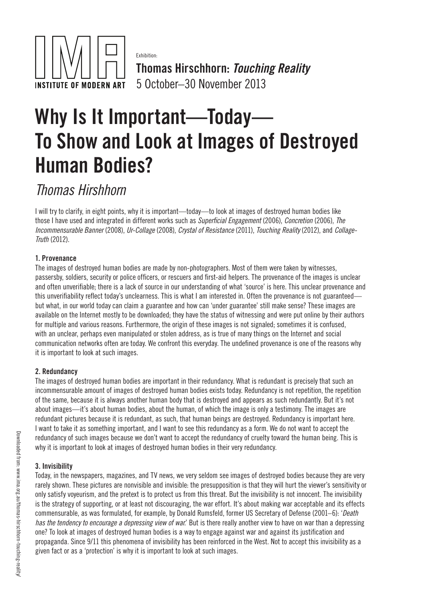

Exhibition:

Thomas Hirschhorn: *Touching Reality* 5 October–30 November 2013

# Why Is It Important—Today— To Show and Look at Images of Destroyed Human Bodies?

*Thomas Hirshhorn*

I will try to clarify, in eight points, why it is important—today—to look at images of destroyed human bodies like those I have used and integrated in different works such as *Superficial Engagement* (2006), *Concretion* (2006), *The Incommensurable Banner* (2008), *Ur-Collage* (2008), *Crystal of Resistance* (2011), *Touching Reality* (2012), and *Collage-Truth* (2012).

## 1. Provenance

The images of destroyed human bodies are made by non-photographers. Most of them were taken by witnesses, passersby, soldiers, security or police officers, or rescuers and first-aid helpers. The provenance of the images is unclear and often unverifiable; there is a lack of source in our understanding of what 'source' is here. This unclear provenance and this unverifiability reflect today's unclearness. This is what I am interested in. Often the provenance is not guaranteed but what, in our world today can claim a guarantee and how can 'under guarantee' still make sense? These images are available on the Internet mostly to be downloaded; they have the status of witnessing and were put online by their authors for multiple and various reasons. Furthermore, the origin of these images is not signaled; sometimes it is confused, with an unclear, perhaps even manipulated or stolen address, as is true of many things on the Internet and social communication networks often are today. We confront this everyday. The undefined provenance is one of the reasons why it is important to look at such images.

# 2. Redundancy

The images of destroyed human bodies are important in their redundancy. What is redundant is precisely that such an incommensurable amount of images of destroyed human bodies exists today. Redundancy is not repetition, the repetition of the same, because it is always another human body that is destroyed and appears as such redundantly. But it's not about images—it's about human bodies, about the human, of which the image is only a testimony. The images are redundant pictures because it is redundant, as such, that human beings are destroyed. Redundancy is important here. I want to take it as something important, and I want to see this redundancy as a form. We do not want to accept the redundancy of such images because we don't want to accept the redundancy of cruelty toward the human being. This is why it is important to look at images of destroyed human bodies in their very redundancy.

# 3. Invisibility

Today, in the newspapers, magazines, and TV news, we very seldom see images of destroyed bodies because they are very rarely shown. These pictures are nonvisible and invisible: the presupposition is that they will hurt the viewer's sensitivity or only satisfy voyeurism, and the pretext is to protect us from this threat. But the invisibility is not innocent. The invisibility is the strategy of supporting, or at least not discouraging, the war effort. It's about making war acceptable and its effects commensurable, as was formulated, for example, by Donald Rumsfeld, former US Secretary of Defense (2001–6): '*Death has the tendency to encourage a depressing view of war*.' But is there really another view to have on war than a depressing one? To look at images of destroyed human bodies is a way to engage against war and against its justification and propaganda. Since 9/11 this phenomena of invisibility has been reinforced in the West. Not to accept this invisibility as a given fact or as a 'protection' is why it is important to look at such images.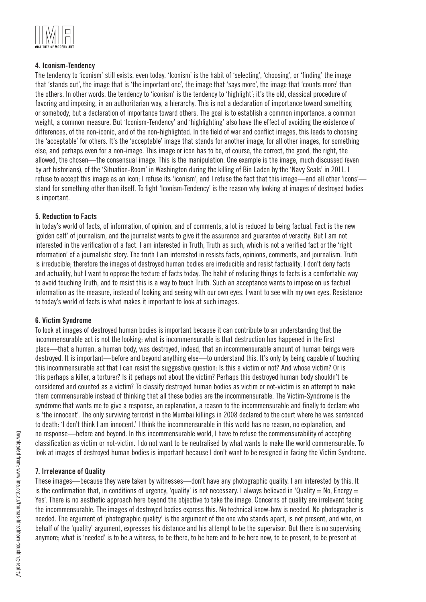

#### 4. Iconism-Tendency

The tendency to 'iconism' still exists, even today. 'Iconism' is the habit of 'selecting', 'choosing', or 'finding' the image that 'stands out', the image that is 'the important one', the image that 'says more', the image that 'counts more' than the others. In other words, the tendency to 'iconism' is the tendency to 'highlight'; it's the old, classical procedure of favoring and imposing, in an authoritarian way, a hierarchy. This is not a declaration of importance toward something or somebody, but a declaration of importance toward others. The goal is to establish a common importance, a common weight, a common measure. But 'Iconism-Tendency' and 'highlighting' also have the effect of avoiding the existence of differences, of the non-iconic, and of the non-highlighted. In the field of war and conflict images, this leads to choosing the 'acceptable' for others. It's the 'acceptable' image that stands for another image, for all other images, for something else, and perhaps even for a non-image. This image or icon has to be, of course, the correct, the good, the right, the allowed, the chosen—the consensual image. This is the manipulation. One example is the image, much discussed (even by art historians), of the 'Situation-Room' in Washington during the killing of Bin Laden by the 'Navy Seals' in 2011. I refuse to accept this image as an icon; I refuse its 'iconism', and I refuse the fact that this image—and all other 'icons' stand for something other than itself. To fight 'Iconism-Tendency' is the reason why looking at images of destroyed bodies is important.

#### 5. Reduction to Facts

In today's world of facts, of information, of opinion, and of comments, a lot is reduced to being factual. Fact is the new 'golden calf' of journalism, and the journalist wants to give it the assurance and guarantee of veracity. But I am not interested in the verification of a fact. I am interested in Truth, Truth as such, which is not a verified fact or the 'right information' of a journalistic story. The truth I am interested in resists facts, opinions, comments, and journalism. Truth is irreducible; therefore the images of destroyed human bodies are irreducible and resist factuality. I don't deny facts and actuality, but I want to oppose the texture of facts today. The habit of reducing things to facts is a comfortable way to avoid touching Truth, and to resist this is a way to touch Truth. Such an acceptance wants to impose on us factual information as the measure, instead of looking and seeing with our own eyes. I want to see with my own eyes. Resistance to today's world of facts is what makes it important to look at such images.

#### 6. Victim Syndrome

To look at images of destroyed human bodies is important because it can contribute to an understanding that the incommensurable act is not the looking; what is incommensurable is that destruction has happened in the first place—that a human, a human body, was destroyed, indeed, that an incommensurable amount of human beings were destroyed. It is important—before and beyond anything else—to understand this. It's only by being capable of touching this incommensurable act that I can resist the suggestive question: Is this a victim or not? And whose victim? Or is this perhaps a killer, a torturer? Is it perhaps not about the victim? Perhaps this destroyed human body shouldn't be considered and counted as a victim? To classify destroyed human bodies as victim or not-victim is an attempt to make them commensurable instead of thinking that all these bodies are the incommensurable. The Victim-Syndrome is the syndrome that wants me to give a response, an explanation, a reason to the incommensurable and finally to declare who is 'the innocent'. The only surviving terrorist in the Mumbai killings in 2008 declared to the court where he was sentenced to death: 'I don't think I am innocent.' I think the incommensurable in this world has no reason, no explanation, and no response—before and beyond. In this incommensurable world, I have to refuse the commensurability of accepting classification as victim or not-victim. I do not want to be neutralised by what wants to make the world commensurable. To look at images of destroyed human bodies is important because I don't want to be resigned in facing the Victim Syndrome.

### 7. Irrelevance of Quality

These images—because they were taken by witnesses—don't have any photographic quality. I am interested by this. It is the confirmation that, in conditions of urgency, 'quality' is not necessary. I always believed in 'Quality = No, Energy = Yes'. There is no aesthetic approach here beyond the objective to take the image. Concerns of quality are irrelevant facing the incommensurable. The images of destroyed bodies express this. No technical know-how is needed. No photographer is needed. The argument of 'photographic quality' is the argument of the one who stands apart, is not present, and who, on behalf of the 'quality' argument, expresses his distance and his attempt to be the supervisor. But there is no supervising anymore; what is 'needed' is to be a witness, to be there, to be here and to be here now, to be present, to be present at